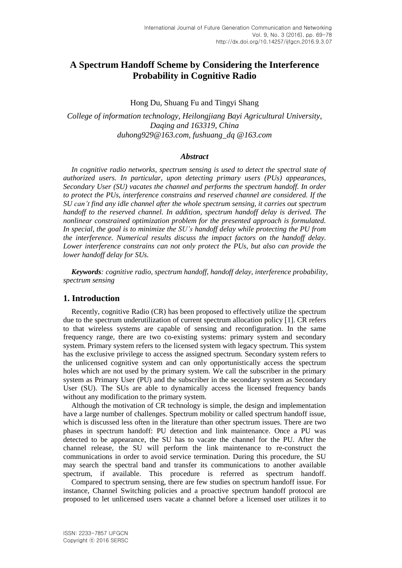# **A Spectrum Handoff Scheme by Considering the Interference Probability in Cognitive Radio**

### Hong Du, Shuang Fu and Tingyi Shang

*College of information technology, Heilongjiang Bayi Agricultural University, Daqing and 163319, China duhong929@163.com, fushuang\_dq @163.com*

### *Abstract*

*In cognitive radio networks, spectrum sensing is used to detect the spectral state of authorized users. In particular, upon detecting primary users (PUs) appearances, Secondary User (SU) vacates the channel and performs the spectrum handoff. In order to protect the PUs, interference constrains and reserved channel are considered. If the SU can't find any idle channel after the whole spectrum sensing, it carries out spectrum handoff to the reserved channel. In addition, spectrum handoff delay is derived. The nonlinear constrained optimization problem for the presented approach is formulated. In special, the goal is to minimize the SU's handoff delay while protecting the PU from the interference. Numerical results discuss the impact factors on the handoff delay. Lower interference constrains can not only protect the PUs, but also can provide the lower handoff delay for SUs.*

*Keywords: cognitive radio, spectrum handoff, handoff delay, interference probability, spectrum sensing*

# **1. Introduction**

Recently, cognitive Radio (CR) has been proposed to effectively utilize the spectrum due to the spectrum underutilization of current spectrum allocation policy [1]. CR refers to that wireless systems are capable of sensing and reconfiguration. In the same frequency range, there are two co-existing systems: primary system and secondary system. Primary system refers to the licensed system with legacy spectrum. This system has the exclusive privilege to access the assigned spectrum. Secondary system refers to the unlicensed cognitive system and can only opportunistically access the spectrum holes which are not used by the primary system. We call the subscriber in the primary system as Primary User (PU) and the subscriber in the secondary system as Secondary User (SU). The SUs are able to dynamically access the licensed frequency bands without any modification to the primary system.

Although the motivation of CR technology is simple, the design and implementation have a large number of challenges. Spectrum mobility or called spectrum handoff issue, which is discussed less often in the literature than other spectrum issues. There are two phases in spectrum handoff: PU detection and link maintenance. Once a PU was detected to be appearance, the SU has to vacate the channel for the PU. After the channel release, the SU will perform the link maintenance to re-construct the communications in order to avoid service termination. During this procedure, the SU may search the spectral band and transfer its communications to another available spectrum, if available. This procedure is referred as spectrum handoff.

Compared to spectrum sensing, there are few studies on spectrum handoff issue. For instance, Channel Switching policies and a proactive spectrum handoff protocol are proposed to let unlicensed users vacate a channel before a licensed user utilizes it to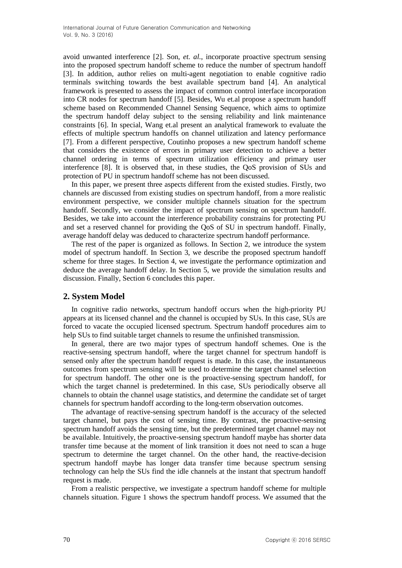avoid unwanted interference [2]. Son*, et. al.*, incorporate proactive spectrum sensing into the proposed spectrum handoff scheme to reduce the number of spectrum handoff [3]. In addition, author relies on multi-agent negotiation to enable cognitive radio terminals switching towards the best available spectrum band [4]. An analytical framework is presented to assess the impact of common control interface incorporation into CR nodes for spectrum handoff [5]. Besides, Wu et.al propose a spectrum handoff scheme based on Recommended Channel Sensing Sequence, which aims to optimize the spectrum handoff delay subject to the sensing reliability and link maintenance constraints [6]. In special, Wang et.al present an analytical framework to evaluate the effects of multiple spectrum handoffs on channel utilization and latency performance [7]. From a different perspective, Coutinho proposes a new spectrum handoff scheme that considers the existence of errors in primary user detection to achieve a better channel ordering in terms of spectrum utilization efficiency and primary user interference [8]. It is observed that, in these studies, the QoS provision of SUs and protection of PU in spectrum handoff scheme has not been discussed.

In this paper, we present three aspects different from the existed studies. Firstly, two channels are discussed from existing studies on spectrum handoff, from a more realistic environment perspective, we consider multiple channels situation for the spectrum handoff. Secondly, we consider the impact of spectrum sensing on spectrum handoff. Besides, we take into account the interference probability constrains for protecting PU and set a reserved channel for providing the QoS of SU in spectrum handoff. Finally, average handoff delay was deduced to characterize spectrum handoff performance.

The rest of the paper is organized as follows. In Section 2, we introduce the system model of spectrum handoff. In Section 3, we describe the proposed spectrum handoff scheme for three stages. In Section 4, we investigate the performance optimization and deduce the average handoff delay. In Section 5, we provide the simulation results and discussion. Finally, Section 6 concludes this paper.

# **2. System Model**

In cognitive radio networks, spectrum handoff occurs when the high-priority PU appears at its licensed channel and the channel is occupied by SUs. In this case, SUs are forced to vacate the occupied licensed spectrum. Spectrum handoff procedures aim to help SUs to find suitable target channels to resume the unfinished transmission.

In general, there are two major types of spectrum handoff schemes. One is the reactive-sensing spectrum handoff, where the target channel for spectrum handoff is sensed only after the spectrum handoff request is made. In this case, the instantaneous outcomes from spectrum sensing will be used to determine the target channel selection for spectrum handoff. The other one is the proactive-sensing spectrum handoff, for which the target channel is predetermined. In this case, SUs periodically observe all channels to obtain the channel usage statistics, and determine the candidate set of target channels for spectrum handoff according to the long-term observation outcomes.

The advantage of reactive-sensing spectrum handoff is the accuracy of the selected target channel, but pays the cost of sensing time. By contrast, the proactive-sensing spectrum handoff avoids the sensing time, but the predetermined target channel may not be available. Intuitively, the proactive-sensing spectrum handoff maybe has shorter data transfer time because at the moment of link transition it does not need to scan a huge spectrum to determine the target channel. On the other hand, the reactive-decision spectrum handoff maybe has longer data transfer time because spectrum sensing technology can help the SUs find the idle channels at the instant that spectrum handoff request is made.

From a realistic perspective, we investigate a spectrum handoff scheme for multiple channels situation. Figure 1 shows the spectrum handoff process. We assumed that the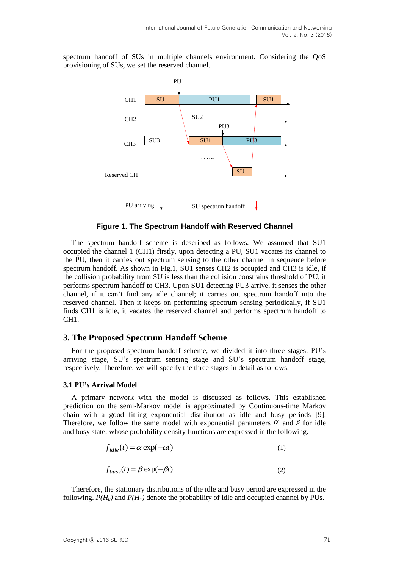spectrum handoff of SUs in multiple channels environment. Considering the QoS provisioning of SUs, we set the reserved channel.



**Figure 1. The Spectrum Handoff with Reserved Channel**

The spectrum handoff scheme is described as follows. We assumed that SU1 occupied the channel 1 (CH1) firstly, upon detecting a PU, SU1 vacates its channel to the PU, then it carries out spectrum sensing to the other channel in sequence before spectrum handoff. As shown in Fig.1, SU1 senses CH2 is occupied and CH3 is idle, if the collision probability from SU is less than the collision constrains threshold of PU, it performs spectrum handoff to CH3. Upon SU1 detecting PU3 arrive, it senses the other channel, if it can't find any idle channel; it carries out spectrum handoff into the reserved channel. Then it keeps on performing spectrum sensing periodically, if SU1 finds CH1 is idle, it vacates the reserved channel and performs spectrum handoff to CH1.

# **3. The Proposed Spectrum Handoff Scheme**

For the proposed spectrum handoff scheme, we divided it into three stages: PU's arriving stage, SU's spectrum sensing stage and SU's spectrum handoff stage, respectively. Therefore, we will specify the three stages in detail as follows.

### **3.1 PU's Arrival Model**

A primary network with the model is discussed as follows. This established prediction on the semi-Markov model is approximated by Continuous-time Markov chain with a good fitting exponential distribution as idle and busy periods [9]. Therefore, we follow the same model with exponential parameters  $\alpha$  and  $\beta$  for idle and busy state, whose probability density functions are expressed in the following.

$$
f_{idle}(t) = \alpha \exp(-\alpha t)
$$
 (1)

$$
f_{busy}(t) = \beta \exp(-\beta t)
$$
\n(2)

Therefore, the stationary distributions of the idle and busy period are expressed in the following.  $P(H_0)$  and  $P(H_1)$  denote the probability of idle and occupied channel by PUs.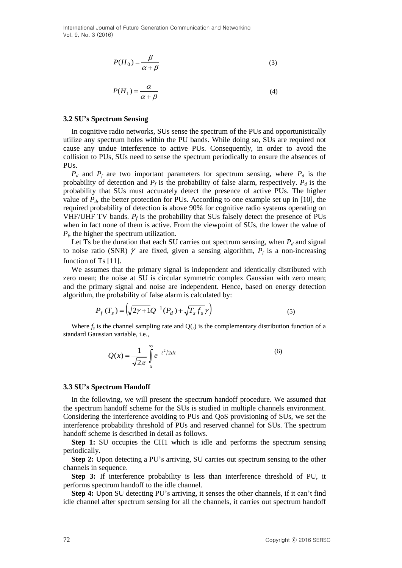$$
P(H_0) = \frac{\beta}{\alpha + \beta} \tag{3}
$$

$$
P(H_1) = \frac{\alpha}{\alpha + \beta} \tag{4}
$$

#### **3.2 SU's Spectrum Sensing**

In cognitive radio networks, SUs sense the spectrum of the PUs and opportunistically utilize any spectrum holes within the PU bands. While doing so, SUs are required not cause any undue interference to active PUs. [Consequently,](http://dict.youdao.com/search?q=consequently&keyfrom=E2Ctranslation) in order to avoid the collision to PUs, SUs need to sense the spectrum periodically to ensure the absences of PUs.

 $P_d$  and  $P_f$  are two important parameters for spectrum sensing, where  $P_d$  is the probability of detection and  $P_f$  is the probability of false alarm, respectively.  $P_d$  is the probability that SUs must accurately detect the presence of active PUs. The higher value of  $P_d$ , the better protection for PUs. According to one example set up in [10], the required probability of detection is above 90% for cognitive radio systems operating on VHF/UHF TV bands.  $P_f$  is the probability that SUs falsely detect the presence of PUs when in fact none of them is active. From the viewpoint of SUs, the lower the value of  $P_f$ , the higher the spectrum utilization.

Let Ts be the duration that each SU carries out spectrum sensing, when  $P_d$  and signal to noise ratio (SNR)  $\gamma$  are fixed, given a sensing algorithm,  $P_f$  is a non-increasing function of Ts [11].

We assumes that the primary signal is independent and identically distributed with zero mean; the noise at SU is circular symmetric complex Gaussian with zero mean; and the primary signal and noise are independent. Hence, based on energy detection algorithm, the probability of false alarm is calculated by:

$$
P_f(T_s) = \left(\sqrt{2\gamma + 1}Q^{-1}(P_d) + \sqrt{T_s f_s} \gamma\right)
$$
\n<sup>(5)</sup>

Where  $f_s$  is the channel sampling rate and  $Q(.)$  is the complementary distribution function of a standard Gaussian variable, i.e.,

$$
Q(x) = \frac{1}{\sqrt{2\pi}} \int_{x}^{\infty} e^{-t^2/2dt}
$$
 (6)

#### **3.3 SU's Spectrum Handoff**

In the following, we will present the spectrum handoff procedure. We assumed that the spectrum handoff scheme for the SUs is studied in multiple channels environment. Considering the interference avoiding to PUs and QoS provisioning of SUs, we set the interference probability threshold of PUs and reserved channel for SUs. The spectrum handoff scheme is described in detail as follows.

**Step 1:** SU occupies the CH1 which is idle and performs the spectrum sensing periodically.

**Step 2:** Upon detecting a PU's arriving, SU carries out spectrum sensing to the other channels in sequence.

**Step 3:** If interference probability is less than interference threshold of PU, it performs spectrum handoff to the idle channel.

**Step 4:** Upon SU detecting PU's arriving, it senses the other channels, if it can't find idle channel after spectrum sensing for all the channels, it carries out spectrum handoff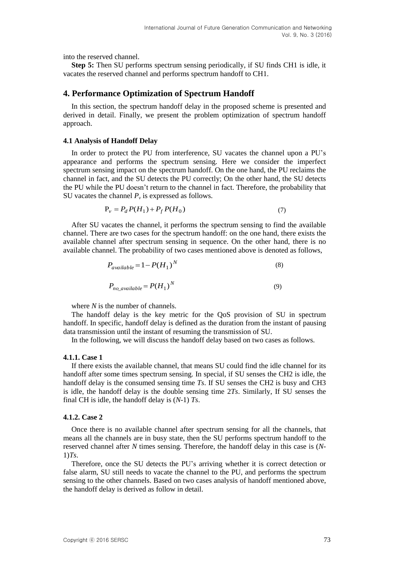into the reserved channel.

**Step 5:** Then SU performs spectrum sensing periodically, if SU finds CH1 is idle, it vacates the reserved channel and performs spectrum handoff to CH1.

## **4. Performance Optimization of Spectrum Handoff**

In this section, the spectrum handoff delay in the proposed scheme is presented and derived in detail. Finally, we present the problem optimization of spectrum handoff approach.

#### **4.1 Analysis of Handoff Delay**

In order to protect the PU from interference, SU vacates the channel upon a PU's appearance and performs the spectrum sensing. Here we consider the imperfect spectrum sensing impact on the spectrum handoff. On the one hand, the PU reclaims the channel in fact, and the SU detects the PU correctly; On the other hand, the SU detects the PU while the PU doesn't return to the channel in fact. Therefore, the probability that SU vacates the channel  $P_\nu$  is expressed as follows.

$$
P_v = P_d P(H_1) + P_f P(H_0)
$$
\n(7)

After SU vacates the channel, it performs the spectrum sensing to find the available channel. There are two cases for the spectrum handoff: on the one hand, there exists the available channel after spectrum sensing in sequence. On the other hand, there is no available channel. The probability of two cases mentioned above is denoted as follows,

$$
P_{available} = 1 - P(H_1)^N
$$
\n
$$
P_{no\_available} = P(H_1)^N
$$
\n(8)

where *N* is the number of channels.

The handoff delay is the key metric for the QoS provision of SU in spectrum handoff. In specific, handoff delay is defined as the duration from the instant of pausing data transmission until the instant of resuming the transmission of SU.

In the following, we will discuss the handoff delay based on two cases as follows.

#### **4.1.1. Case 1**

If there exists the available channel, that means SU could find the idle channel for its handoff after some times spectrum sensing. In special, if SU senses the CH2 is idle, the handoff delay is the consumed sensing time *Ts*. If SU senses the CH2 is busy and CH3 is idle, the handoff delay is the double sensing time 2*Ts*. Similarly, If SU senses the final CH is idle, the handoff delay is (*N*-1) *Ts*.

### **4.1.2. Case 2**

Once there is no available channel after spectrum sensing for all the channels, that means all the channels are in busy state, then the SU performs spectrum handoff to the reserved channel after *N* times sensing. Therefore, the handoff delay in this case is (*N*-1)*Ts*.

Therefore, once the SU detects the PU's arriving whether it is correct detection or false alarm, SU still needs to vacate the channel to the PU, and performs the spectrum sensing to the other channels. Based on two cases analysis of handoff mentioned above, the handoff delay is derived as follow in detail.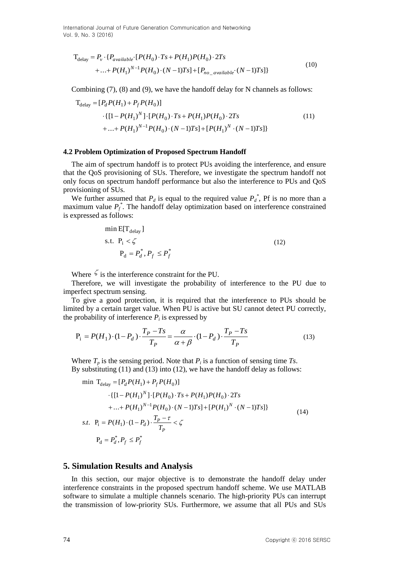$$
T_{\text{delay}} = P_v \cdot \{ P_{\text{available}} \cdot [P(H_0) \cdot Ts + P(H_1)P(H_0) \cdot 2Ts + ... + P(H_1)^{N-1}P(H_0) \cdot (N-1)Ts] + [P_{no\_available} \cdot (N-1)Ts] \}
$$
\n
$$
(10)
$$

Combining (7), (8) and (9), we have the handoff delay for N channels as follows:

$$
T_{\text{delay}} = [P_d P(H_1) + P_f P(H_0)]
$$
  
 
$$
\cdot \{ [1 - P(H_1)^N] \cdot [P(H_0) \cdot Ts + P(H_1)P(H_0) \cdot 2Ts + ... + P(H_1)^{N-1}P(H_0) \cdot (N-1)Ts] + [P(H_1)^N \cdot (N-1)Ts] \}
$$
 (11)

### **4.2 Problem Optimization of Proposed Spectrum Handoff**

The aim of spectrum handoff is to protect PUs avoiding the interference, and ensure that the QoS provisioning of SUs. Therefore, we investigate the spectrum handoff not only focus on spectrum handoff performance but also the interference to PUs and QoS provisioning of SUs.

We further assumed that  $P_d$  is equal to the required value  $P_d^*$ , Pf is no more than a maximum value  $P_f^*$ . The handoff delay optimization based on interference constrained is expressed as follows:

min E[T<sub>delay</sub>]  
s.t. P<sub>i</sub> 
$$
\leq
$$
  $P_d = P_d^*, P_f \leq P_f^*$  (12)

Where  $\zeta$  is the interference constraint for the PU.

Therefore, we will investigate the probability of interference to the PU due to imperfect spectrum sensing.

To give a good protection, it is required that the interference to PUs should be limited by a certain target value. When PU is active but SU cannot detect PU correctly, the probability of interference  $P_i$  is expressed by

$$
P_{i} = P(H_{1}) \cdot (1 - P_{d}) \cdot \frac{T_{P} - Ts}{T_{P}} = \frac{\alpha}{\alpha + \beta} \cdot (1 - P_{d}) \cdot \frac{T_{P} - Ts}{T_{P}}
$$
(13)

Where  $T_p$  is the sensing period. Note that  $P_i$  is a function of sensing time  $Ts$ . By substituting (11) and (13) into (12), we have the handoff delay as follows:

$$
\begin{aligned}\n\min \, \, T_{\text{delay}} &= [P_d P(H_1) + P_f P(H_0)] \\
&\cdot \{ [1 - P(H_1)^N] \cdot [P(H_0) \cdot Ts + P(H_1) P(H_0) \cdot 2Ts \\
&\quad + \dots + P(H_1)^{N-1} P(H_0) \cdot (N-1)Ts] + [P(H_1)^N \cdot (N-1)Ts] \} \\
\text{s.t.} \, \, P_i &= P(H_1) \cdot (1 - P_d) \cdot \frac{T_P - \tau}{T_P} < \zeta \\
&\quad P_d &= P_d^*, P_f \le P_f^*\n\end{aligned}\n\tag{14}
$$

### **5. Simulation Results and Analysis**

In this section, our major objective is to demonstrate the handoff delay under interference constraints in the proposed spectrum handoff scheme. We use MATLAB software to simulate a multiple channels scenario. The high-priority PUs can interrupt the transmission of low-priority SUs. Furthermore, we assume that all PUs and SUs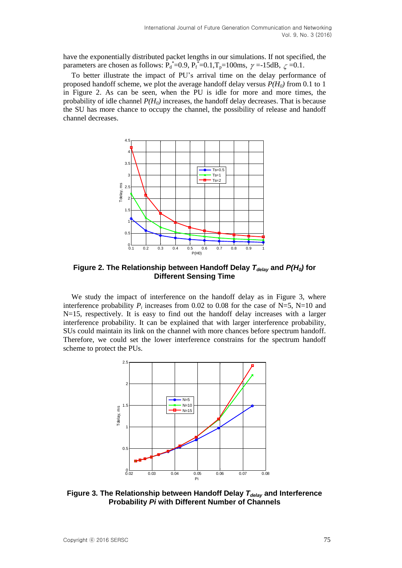have the exponentially distributed packet lengths in our simulations. If not specified, the parameters are chosen as follows:  $\overline{P_d}^* = 0.9$ ,  $P_f^* = 0.1$ ,  $T_p = 100$ ms,  $\gamma = -15$ dB,  $\zeta = 0.1$ .

To better illustrate the impact of PU's arrival time on the delay performance of proposed handoff scheme, we plot the average handoff delay versus *P(H0)* from 0.1 to 1 in Figure 2. As can be seen, when the PU is idle for more and more times, the probability of idle channel  $P(H_0)$  increases, the handoff delay decreases. That is because the SU has more chance to occupy the channel, the possibility of release and handoff channel decreases.



**Figure 2. The Relationship between Handoff Delay** *Tdelay* **and** *P(H0)* **for Different Sensing Time**

We study the impact of interference on the handoff delay as in Figure 3, where interference probability  $P_i$  increases from 0.02 to 0.08 for the case of N=5, N=10 and  $N=15$ , respectively. It is easy to find out the handoff delay increases with a larger interference probability. It can be explained that with larger interference probability, SUs could maintain its link on the channel with more chances before spectrum handoff. Therefore, we could set the lower interference constrains for the spectrum handoff scheme to protect the PUs.



**Figure 3. The Relationship between Handoff Delay** *Tdelay* **and Interference Probability** *Pi* **with Different Number of Channels**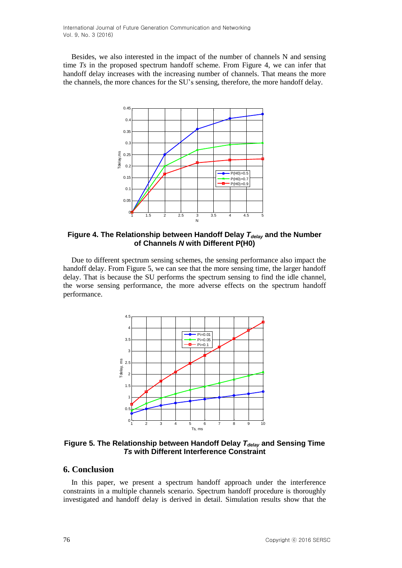Besides, we also interested in the impact of the number of channels N and sensing time *Ts* in the proposed spectrum handoff scheme. From Figure 4, we can infer that handoff delay increases with the increasing number of channels. That means the more the channels, the more chances for the SU's sensing, therefore, the more handoff delay.



**Figure 4. The Relationship between Handoff Delay** *Tdelay* **and the Number of Channels** *N* **with Different P(H0)**

Due to different spectrum sensing schemes, the sensing performance also impact the handoff delay. From Figure 5, we can see that the more sensing time, the larger handoff delay. That is because the SU performs the spectrum sensing to find the idle channel, the worse sensing performance, the more adverse effects on the spectrum handoff performance.



**Figure 5. The Relationship between Handoff Delay** *Tdelay* **and Sensing Time** *Ts* **with Different Interference Constraint**

## **6. Conclusion**

In this paper, we present a spectrum handoff approach under the interference constraints in a multiple channels scenario. Spectrum handoff procedure is thoroughly investigated and handoff delay is derived in detail. Simulation results show that the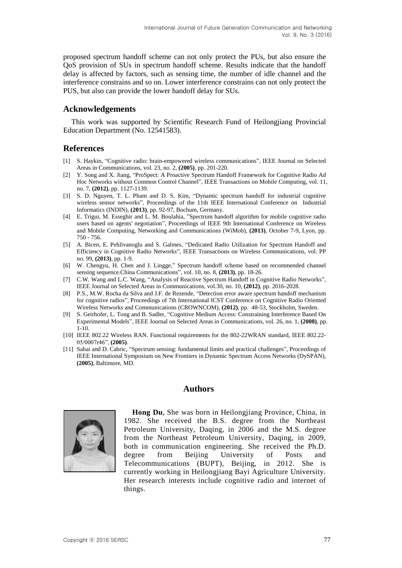proposed spectrum handoff scheme can not only protect the PUs, but also ensure the QoS provision of SUs in spectrum handoff scheme. Results indicate that the handoff delay is affected by factors, such as sensing time, the number of idle channel and the interference constrains and so on. Lower interference constrains can not only protect the PUS, but also can provide the lower handoff delay for SUs.

## **Acknowledgements**

This work was supported by Scientific Research Fund of Heilongjiang Provincial Education Department (No. 12541583).

# **References**

- [1] S. Haykin, "Cognitive radio: brain-empowered wireless communications", IEEE Journal on Selected Areas in Communications, vol. 23, no. 2, **(2005)**, pp. 201-220.
- [2] Y. [Song](http://ieeexplore.ieee.org/search/searchresult.jsp?searchWithin=p_Authors:.QT.Yi%20Song.QT.&searchWithin=p_Author_Ids:38262690600&newsearch=true) and X. [Jiang,](http://ieeexplore.ieee.org/search/searchresult.jsp?searchWithin=p_Authors:.QT.Jiang%20Xie.QT.&searchWithin=p_Author_Ids:38266704300&newsearch=true) "ProSpect: A Proactive Spectrum Handoff [Framework](http://ieeexplore.ieee.org/xpl/articleDetails.jsp?tp=&arnumber=6202813&queryText%3Dspectrum+handoff) for Cognitive Radio Ad Hoc [Networks](http://ieeexplore.ieee.org/xpl/articleDetails.jsp?tp=&arnumber=6202813&queryText%3Dspectrum+handoff) without Common Control Channel", IEEE [Transactions](http://ieeexplore.ieee.org/xpl/RecentIssue.jsp?punumber=7755) on Mobile Computing, vol. 11, no. 7, **(2012)**, pp. 1127-1139.
- [3] S. D. [Nguyen,](http://ieeexplore.ieee.org/search/searchresult.jsp?searchWithin=p_Authors:.QT.Son%20Duc%20Nguyen.QT.&newsearch=true) T. L. [Pham](http://ieeexplore.ieee.org/search/searchresult.jsp?searchWithin=p_Authors:.QT.Tung-Linh%20Pham.QT.&newsearch=true) and D. S. [Kim,](http://ieeexplore.ieee.org/search/searchresult.jsp?searchWithin=p_Authors:.QT.Dong-Seong%20Kim.QT.&newsearch=true) ["Dynamic](http://ieeexplore.ieee.org/xpl/articleDetails.jsp?tp=&arnumber=6622864&ranges%3D2012_2015_p_Publication_Year%26queryText%3Dspectrum+handoff) spectrum handoff for industrial cognitive wireless sensor [networks"](http://ieeexplore.ieee.org/xpl/articleDetails.jsp?tp=&arnumber=6622864&ranges%3D2012_2015_p_Publication_Year%26queryText%3Dspectrum+handoff), Proceedings of the 11th IEEE [International](http://ieeexplore.ieee.org/xpl/mostRecentIssue.jsp?punumber=6599026) Conference on Industrial Informatics (INDIN), **(2013)**, pp. 92-97, Bochum, Germany.
- [4] E. [Trigui,](http://ieeexplore.ieee.org/search/searchresult.jsp?searchWithin=p_Authors:.QT.Trigui,%20E..QT.&newsearch=true) M. [Esseghir](http://ieeexplore.ieee.org/search/searchresult.jsp?searchWithin=p_Authors:.QT.Esseghir,%20M..QT.&newsearch=true) and L. M. [Boulahia,](http://ieeexplore.ieee.org/search/searchresult.jsp?searchWithin=p_Authors:.QT.Boulahia,%20L.M..QT.&newsearch=true) ["Spectrum](http://ieeexplore.ieee.org/xpl/articleDetails.jsp?tp=&arnumber=6673440&ranges%3D2012_2015_p_Publication_Year%26queryText%3Dspectrum+handoff) handoff algorithm for mobile cognitive radio users based on agents' [negotiation](http://ieeexplore.ieee.org/xpl/articleDetails.jsp?tp=&arnumber=6673440&ranges%3D2012_2015_p_Publication_Year%26queryText%3Dspectrum+handoff)[", Proceedings](http://ieeexplore.ieee.org/xpl/mostRecentIssue.jsp?punumber=6661476) of IEEE 9th International Conference on Wireless and Mobile Computing, Networking and Communications (WiMob), **(2013)**, October 7-9, Lyon, pp. 750 - 756.
- [5] A. [Bicen,](http://ieeexplore.ieee.org/search/searchresult.jsp?searchWithin=p_Authors:.QT.Bicen,%20A..QT.&newsearch=true) E. [Pehlivanoglu](http://ieeexplore.ieee.org/search/searchresult.jsp?searchWithin=p_Authors:.QT.Pehlivanoglu,%20E..QT.&newsearch=true) and S. [Galmes,](http://ieeexplore.ieee.org/search/searchresult.jsp?searchWithin=p_Authors:.QT.Galmes,%20S..QT.&newsearch=true) ["Dedicated](http://ieeexplore.ieee.org/xpl/articleDetails.jsp?tp=&arnumber=6542782&ranges%3D2012_2015_p_Publication_Year%26queryText%3Dspectrum+handoff) Radio Utilization for Spectrum Handoff and [Efficiency](http://ieeexplore.ieee.org/xpl/articleDetails.jsp?tp=&arnumber=6542782&ranges%3D2012_2015_p_Publication_Year%26queryText%3Dspectrum+handoff) in Cognitive Radio Networks", IEEE Transactions on Wireless [Communications,](http://ieeexplore.ieee.org/xpl/RecentIssue.jsp?punumber=7693) vol. PP no. 99, **(2013)**, pp. 1-9.
- [6] [W. Chengyu,](http://ieeexplore.ieee.org/search/searchresult.jsp?searchWithin=p_Authors:.QT.Wu%20Chengyu.QT.&newsearch=true) [H. Chen](http://ieeexplore.ieee.org/search/searchresult.jsp?searchWithin=p_Authors:.QT.He%20Chen.QT.&newsearch=true) and [J. Lingge,](http://ieeexplore.ieee.org/search/searchresult.jsp?searchWithin=p_Authors:.QT.Jiang%20Lingge.QT.&newsearch=true)" Spectrum handoff scheme based on [recommended](http://ieeexplore.ieee.org/xpl/articleDetails.jsp?tp=&arnumber=6633741&ranges%3D2012_2015_p_Publication_Year%26queryText%3Dspectrum+handoff) channel sensing [sequence.](http://ieeexplore.ieee.org/xpl/articleDetails.jsp?tp=&arnumber=6633741&ranges%3D2012_2015_p_Publication_Year%26queryText%3Dspectrum+handoff)China [Communications"](http://ieeexplore.ieee.org/xpl/RecentIssue.jsp?punumber=6245522), vol. 10, no. 8, **(2013)**, pp. 18-26.
- [7] [C.W. Wang](http://ieeexplore.ieee.org/search/searchresult.jsp?searchWithin=p_Authors:.QT.Chung-Wei%20Wang.QT.&searchWithin=p_Author_Ids:37405905200&newsearch=true) an[d L.C. Wang,](http://ieeexplore.ieee.org/search/searchresult.jsp?searchWithin=p_Authors:.QT.Li-Chun%20Wang.QT.&searchWithin=p_Author_Ids:37280758200&newsearch=true) "Analysis of Reactive Spectrum Handoff in Cognitive Radio [Networks"](http://ieeexplore.ieee.org/xpl/articleDetails.jsp?tp=&arnumber=6331691&ranges%3D2012_2015_p_Publication_Year%26queryText%3Dspectrum+handoff), IEEE Journal on Selected Areas in Communications, vol.30, no. 10, **(2012)**, pp. 2016-2028.
- [8] P.S., M.W. [Rocha](http://ieeexplore.ieee.org/search/searchresult.jsp?searchWithin=p_Authors:.QT.Rocha%20da%20Silva,%20M.W..QT.&searchWithin=p_Author_Ids:37854290000&newsearch=true) da Silva and J.F. de [Rezende,](http://ieeexplore.ieee.org/search/searchresult.jsp?searchWithin=p_Authors:.QT.de%20Rezende,%20J.F..QT.&searchWithin=p_Author_Ids:37327051000&newsearch=true) "Detection error aware spectrum handoff [mechanism](http://ieeexplore.ieee.org/xpl/articleDetails.jsp?tp=&arnumber=6333713&ranges%3D2012_2015_p_Publication_Year%26queryText%3Dspectrum+handoff) for [cognitive](http://ieeexplore.ieee.org/xpl/articleDetails.jsp?tp=&arnumber=6333713&ranges%3D2012_2015_p_Publication_Year%26queryText%3Dspectrum+handoff) radios", Proceedings of 7th International ICST Conference on [Cognitive](http://ieeexplore.ieee.org/xpl/mostRecentIssue.jsp?punumber=6311538) Radio Oriented Wireless Networks and Communications [\(CROWNCOM\),](http://ieeexplore.ieee.org/xpl/mostRecentIssue.jsp?punumber=6311538) **(2012)**, pp. 48-53, [Stockholm,](http://www.ourglocal.com/?c=28%2C1%2Cse%2CStockholm) [Sweden.](http://www.ourglocal.com/?c=15%2Cse)
- [9] S. Geirhofer, L. Tong and B. Sadler, "Cognitive Medium Access: Constraining Interference Based On Experimental Models", IEEE Journal on Selected Areas in Communications, vol. 26, no. 1, **(2008)**, pp. 1-10.
- [10] IEEE 802.22 Wireless RAN. Functional requirements for the 802-22WRAN standard, IEEE 802.22- 05/0007r46", **(2005)**.
- [11] Sahai and D. Cabric, "Spectrum sensing: fundamental limits and practical challenges", Proceedings of IEEE International Symposium on New Frontiers in Dynamic Spectrum Access Networks (DySPAN), **(2005)**, Baltimore, MD.

# **Authors**



**Hong Du**, She was born in Heilongjiang Province, China, in 1982. She received the B.S. degree from the Northeast Petroleum University, Daqing, in 2006 and the M.S. degree from the Northeast Petroleum University, Daqing, in 2009, both in communication engineering. She received the Ph.D. degree from Beijing University of Posts and Telecommunications (BUPT), Beijing, in 2012. She is currently working in Heilongjiang Bayi Agriculture University. Her research interests include cognitive radio and internet of things.